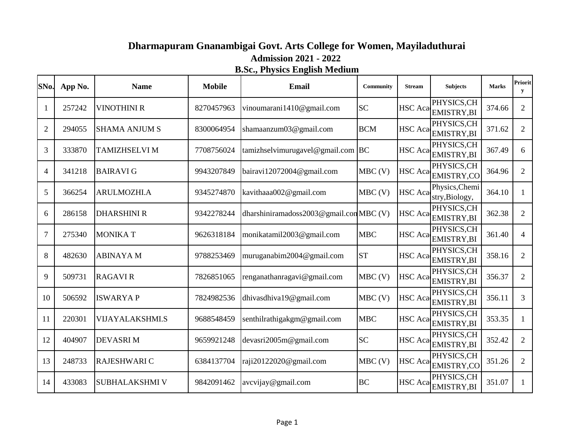## **Dharmapuram Gnanambigai Govt. Arts College for Women, Mayiladuthurai B.Sc., Physics English Medium Admission 2021 - 2022**

| SNo.           | App No. | <b>Name</b>            | <b>Mobile</b> | Email                                  | Community  | <b>Stream</b>  | <b>Subjects</b>                  | <b>Marks</b> | <b>Priorit</b><br>y |
|----------------|---------|------------------------|---------------|----------------------------------------|------------|----------------|----------------------------------|--------------|---------------------|
|                | 257242  | <b>VINOTHINI R</b>     | 8270457963    | vinoumarani1410@gmail.com              | <b>SC</b>  | <b>HSC</b> Aca | PHYSICS, CH<br>EMISTRY, BI       | 374.66       | $\overline{2}$      |
| $\overline{2}$ | 294055  | <b>SHAMA ANJUM S</b>   | 8300064954    | shamaanzum03@gmail.com                 | <b>BCM</b> | <b>HSC</b> Aca | PHYSICS, CH<br>EMISTRY, BI       | 371.62       | $\overline{2}$      |
| 3              | 333870  | TAMIZHSELVI M          | 7708756024    | tamizhselvimurugavel@gmail.com         | <b>BC</b>  | <b>HSC</b> Aca | PHYSICS, CH<br>EMISTRY, BI       | 367.49       | 6                   |
| $\overline{4}$ | 341218  | <b>BAIRAVIG</b>        | 9943207849    | bairavi12072004@gmail.com              | $MBC$ (V)  | <b>HSC</b> Aca | PHYSICS, CH<br>EMISTRY,CO        | 364.96       | $\overline{2}$      |
| 5              | 366254  | ARULMOZHI.A            | 9345274870    | kavithaaa002@gmail.com                 | $MBC$ (V)  | <b>HSC</b> Aca | Physics, Chemi<br>stry, Biology, | 364.10       | $\mathbf{1}$        |
| 6              | 286158  | <b>DHARSHINI R</b>     | 9342278244    | dharshiniramadoss2003@gmail.comMBC (V) |            | <b>HSC</b> Aca | PHYSICS, CH<br>EMISTRY, BI       | 362.38       | $\overline{2}$      |
| 7              | 275340  | <b>MONIKAT</b>         | 9626318184    | monikatamil2003@gmail.com              | <b>MBC</b> | <b>HSC</b> Aca | PHYSICS, CH<br>EMISTRY, BI       | 361.40       | 4                   |
| 8              | 482630  | <b>ABINAYA M</b>       | 9788253469    | muruganabim2004@gmail.com              | <b>ST</b>  | <b>HSC</b> Aca | PHYSICS,CH<br><b>EMISTRY,BI</b>  | 358.16       | $\overline{2}$      |
| 9              | 509731  | <b>RAGAVIR</b>         | 7826851065    | renganathanragavi@gmail.com            | $MBC$ (V)  | <b>HSC</b> Aca | PHYSICS,CH<br><b>EMISTRY,BI</b>  | 356.37       | $\overline{2}$      |
| 10             | 506592  | <b>ISWARYAP</b>        | 7824982536    | dhivasdhiva19@gmail.com                | $MBC$ (V)  | <b>HSC</b> Aca | PHYSICS,CH<br>EMISTRY, BI        | 356.11       | $\overline{3}$      |
| 11             | 220301  | <b>VIJAYALAKSHMI.S</b> | 9688548459    | senthilrathigakgm@gmail.com            | <b>MBC</b> | <b>HSC</b> Aca | PHYSICS, CH<br>EMISTRY, BI       | 353.35       | 1                   |
| 12             | 404907  | <b>DEVASRIM</b>        | 9659921248    | devasri2005m@gmail.com                 | <b>SC</b>  | <b>HSC</b> Aca | PHYSICS,CH<br>EMISTRY, BI        | 352.42       | $\overline{2}$      |
| 13             | 248733  | RAJESHWARI C           | 6384137704    | raji20122020@gmail.com                 | $MBC$ (V)  | <b>HSC</b> Aca | PHYSICS, CH<br>EMISTRY,CO        | 351.26       | $\overline{2}$      |
| 14             | 433083  | <b>SUBHALAKSHMI V</b>  | 9842091462    | avcvijay@gmail.com                     | <b>BC</b>  | <b>HSC</b> Aca | PHYSICS,CH<br><b>EMISTRY,BI</b>  | 351.07       | $\mathbf{1}$        |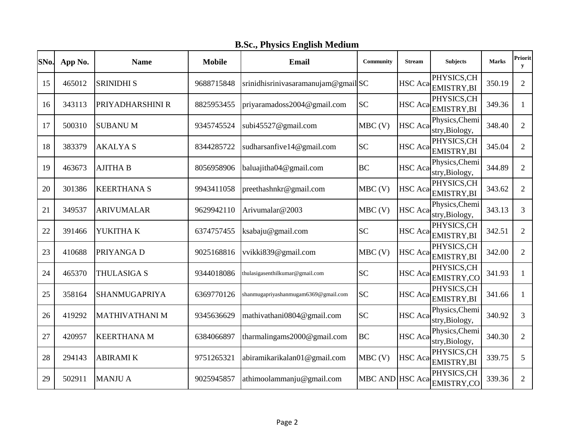**B.Sc., Physics English Medium**

| SNo. | App No. | <b>Name</b>           | <b>Mobile</b> | <b>Email</b>                         | Community       | <b>Stream</b>  | <b>Subjects</b>                  | <b>Marks</b> | Priorit<br>y   |
|------|---------|-----------------------|---------------|--------------------------------------|-----------------|----------------|----------------------------------|--------------|----------------|
| 15   | 465012  | <b>SRINIDHI S</b>     | 9688715848    | srinidhisriniyasaramanujam@gmailSC   |                 | <b>HSC</b> Aca | PHYSICS, CH<br>EMISTRY, BI       | 350.19       | $\overline{2}$ |
| 16   | 343113  | PRIYADHARSHINI R      | 8825953455    | priyaramadoss2004@gmail.com          | <b>SC</b>       | HSC Aca        | PHYSICS, CH<br><b>EMISTRY,BI</b> | 349.36       | 1              |
| 17   | 500310  | <b>SUBANUM</b>        | 9345745524    | subi45527@gmail.com                  | $MBC$ (V)       | HSC Aca        | Physics, Chemi<br>stry, Biology, | 348.40       | $\overline{2}$ |
| 18   | 383379  | <b>AKALYAS</b>        | 8344285722    | sudharsanfive14@gmail.com            | <b>SC</b>       | <b>HSC</b> Aca | PHYSICS, CH<br>EMISTRY, BI       | 345.04       | $\overline{2}$ |
| 19   | 463673  | <b>AJITHA B</b>       | 8056958906    | baluajitha04@gmail.com               | <b>BC</b>       | <b>HSC</b> Aca | Physics, Chemi<br>stry, Biology, | 344.89       | 2              |
| 20   | 301386  | <b>KEERTHANA S</b>    | 9943411058    | preethashnkr@gmail.com               | $MBC$ (V)       | <b>HSC</b> Aca | PHYSICS, CH<br><b>EMISTRY,BI</b> | 343.62       | $\overline{2}$ |
| 21   | 349537  | <b>ARIVUMALAR</b>     | 9629942110    | Arivumalar@2003                      | $MBC$ (V)       | <b>HSC</b> Aca | Physics, Chemi<br>stry, Biology, | 343.13       | 3              |
| 22   | 391466  | YUKITHA K             | 6374757455    | ksabaju@gmail.com                    | <b>SC</b>       | <b>HSC</b> Aca | PHYSICS, CH<br><b>EMISTRY,BI</b> | 342.51       | 2              |
| 23   | 410688  | PRIYANGA D            | 9025168816    | vvikki839@gmail.com                  | $MBC$ (V)       | <b>HSC</b> Aca | PHYSICS, CH<br><b>EMISTRY,BI</b> | 342.00       | $\overline{2}$ |
| 24   | 465370  | THULASIGA S           | 9344018086    | thulasigasenthilkumar@gmail.com      | <b>SC</b>       | <b>HSC</b> Aca | PHYSICS, CH<br>EMISTRY,CO        | 341.93       | 1              |
| 25   | 358164  | SHANMUGAPRIYA         | 6369770126    | shanmugapriyashanmugam6369@gmail.com | <b>SC</b>       | HSC Aca        | PHYSICS, CH<br><b>EMISTRY,BI</b> | 341.66       | $\mathbf{1}$   |
| 26   | 419292  | <b>MATHIVATHANI M</b> | 9345636629    | mathivathani0804@gmail.com           | <b>SC</b>       | <b>HSC</b> Aca | Physics, Chemi<br>stry, Biology, | 340.92       | 3              |
| 27   | 420957  | <b>KEERTHANA M</b>    | 6384066897    | tharmalingams2000@gmail.com          | <b>BC</b>       | <b>HSC</b> Aca | Physics, Chemi<br>stry, Biology, | 340.30       | $\overline{2}$ |
| 28   | 294143  | <b>ABIRAMIK</b>       | 9751265321    | abiramikarikalan01@gmail.com         | MBC(V)          | <b>HSC</b> Aca | PHYSICS, CH<br><b>EMISTRY,BI</b> | 339.75       | 5              |
| 29   | 502911  | <b>MANJU A</b>        | 9025945857    | athimoolammanju@gmail.com            | MBC AND HSC Aca |                | PHYSICS, CH<br><b>EMISTRY,CO</b> | 339.36       | $\overline{2}$ |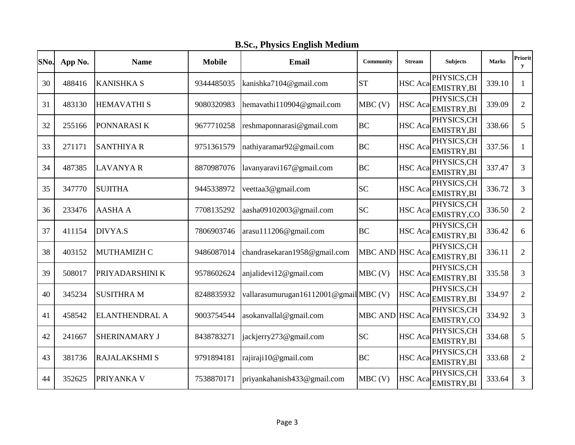|  | <b>B.Sc., Physics English Medium</b> |
|--|--------------------------------------|
|  |                                      |

| SNo. | App No. | <b>Name</b>           | <b>Mobile</b> | Email                                | <b>Community</b> | <b>Stream</b>  | <b>Subjects</b>                  | <b>Marks</b> | <b>Priorit</b><br>y |
|------|---------|-----------------------|---------------|--------------------------------------|------------------|----------------|----------------------------------|--------------|---------------------|
| 30   | 488416  | <b>KANISHKA S</b>     | 9344485035    | kanishka7104@gmail.com               | <b>ST</b>        | <b>HSC</b> Aca | PHYSICS, CH<br><b>EMISTRY,BI</b> | 339.10       | 1                   |
| 31   | 483130  | <b>HEMAVATHI S</b>    | 9080320983    | hemavathi110904@gmail.com            | $MBC$ (V)        | <b>HSC</b> Aca | PHYSICS, CH<br><b>EMISTRY,BI</b> | 339.09       | $\overline{2}$      |
| 32   | 255166  | PONNARASI K           | 9677710258    | reshmaponnarasi@gmail.com            | <b>BC</b>        | HSC Aca        | PHYSICS, CH<br>EMISTRY, BI       | 338.66       | 5                   |
| 33   | 271171  | <b>SANTHIYA R</b>     | 9751361579    | nathiyaramar92@gmail.com             | <b>BC</b>        | <b>HSC</b> Aca | PHYSICS, CH<br>EMISTRY, BI       | 337.56       | 1                   |
| 34   | 487385  | <b>LAVANYA R</b>      | 8870987076    | lavanyaravi167@gmail.com             | <b>BC</b>        | <b>HSC</b> Aca | PHYSICS,CH<br>EMISTRY, BI        | 337.47       | 3                   |
| 35   | 347770  | <b>SUJITHA</b>        | 9445338972    | veettaa3@gmail.com                   | <b>SC</b>        | <b>HSC</b> Aca | PHYSICS, CH<br>EMISTRY, BI       | 336.72       | 3                   |
| 36   | 233476  | <b>AASHA A</b>        | 7708135292    | aasha09102003@gmail.com              | <b>SC</b>        | <b>HSC</b> Aca | PHYSICS,CH<br>EMISTRY,CO         | 336.50       | $\overline{2}$      |
| 37   | 411154  | DIVYA.S               | 7806903746    | arasu111206@gmail.com                | <b>BC</b>        | <b>HSC</b> Aca | PHYSICS,CH<br><b>EMISTRY,BI</b>  | 336.42       | 6                   |
| 38   | 403152  | <b>MUTHAMIZH C</b>    | 9486087014    | chandrasekaran1958@gmail.com         | MBC AND HSC Aca  |                | PHYSICS, CH<br><b>EMISTRY,BI</b> | 336.11       | $\overline{2}$      |
| 39   | 508017  | PRIYADARSHINI K       | 9578602624    | anjalidevi12@gmail.com               | $MBC$ (V)        | <b>HSC</b> Aca | PHYSICS,CH<br>EMISTRY, BI        | 335.58       | 3                   |
| 40   | 345234  | <b>SUSITHRA M</b>     | 8248835932    | vallarasumurugan16112001@gmailMBC(V) |                  | <b>HSC</b> Aca | PHYSICS,CH<br><b>EMISTRY,BI</b>  | 334.97       | $\overline{2}$      |
| 41   | 458542  | <b>ELANTHENDRAL A</b> | 9003754544    | asokanvallal@gmail.com               | MBC AND HSC Aca  |                | PHYSICS, CH<br>EMISTRY,CO        | 334.92       | 3                   |
| 42   | 241667  | SHERINAMARY J         | 8438783271    | jackjerry273@gmail.com               | <b>SC</b>        | <b>HSC</b> Aca | PHYSICS,CH<br>EMISTRY, BI        | 334.68       | 5                   |
| 43   | 381736  | RAJALAKSHMI S         | 9791894181    | rajiraji10@gmail.com                 | <b>BC</b>        | <b>HSC</b> Aca | PHYSICS, CH<br>EMISTRY, BI       | 333.68       | $\overline{2}$      |
| 44   | 352625  | PRIYANKA V            | 7538870171    | priyankahanish433@gmail.com          | $MBC$ (V)        | <b>HSC</b> Aca | PHYSICS, CH<br>EMISTRY, BI       | 333.64       | 3                   |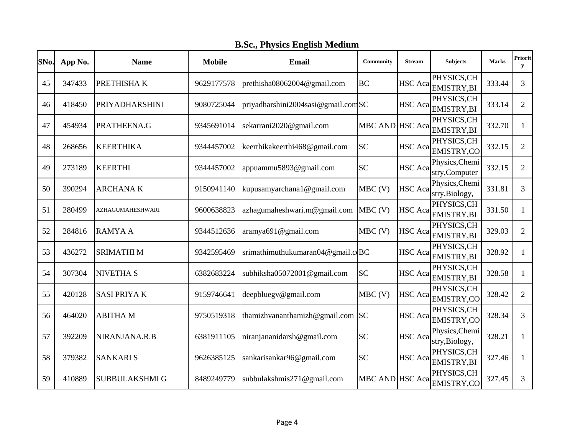|  | <b>B.Sc., Physics English Medium</b> |
|--|--------------------------------------|
|  |                                      |

| SNo. | App No. | <b>Name</b>             | <b>Mobile</b> | Email                               | Community       | <b>Stream</b>  | <b>Subjects</b>                  | <b>Marks</b> | Priorit<br>y   |
|------|---------|-------------------------|---------------|-------------------------------------|-----------------|----------------|----------------------------------|--------------|----------------|
| 45   | 347433  | PRETHISHAK              | 9629177578    | prethisha08062004@gmail.com         | <b>BC</b>       | <b>HSC</b> Aca | PHYSICS, CH<br>EMISTRY, BI       | 333.44       | 3              |
| 46   | 418450  | <b>PRIYADHARSHINI</b>   | 9080725044    | priyadharshini2004sasi@gmail.comSC  |                 | HSC Aca        | PHYSICS, CH<br><b>EMISTRY,BI</b> | 333.14       | 2              |
| 47   | 454934  | PRATHEENA.G             | 9345691014    | sekarrani2020@gmail.com             | MBC AND HSC Aca |                | PHYSICS, CH<br>EMISTRY, BI       | 332.70       | $\mathbf{1}$   |
| 48   | 268656  | <b>KEERTHIKA</b>        | 9344457002    | keerthikakeerthi468@gmail.com       | <b>SC</b>       | <b>HSC</b> Aca | PHYSICS, CH<br>EMISTRY,CO        | 332.15       | $\overline{2}$ |
| 49   | 273189  | <b>KEERTHI</b>          | 9344457002    | appuammu5893@gmail.com              | <b>SC</b>       | <b>HSC</b> Aca | Physics, Chemi<br>stry,Computer  | 332.15       | $\overline{2}$ |
| 50   | 390294  | <b>ARCHANAK</b>         | 9150941140    | kupusamyarchana1@gmail.com          | $MBC$ (V)       | <b>HSC</b> Aca | Physics, Chemi<br>stry, Biology, | 331.81       | 3              |
| 51   | 280499  | <b>AZHAGUMAHESHWARI</b> | 9600638823    | azhagumaheshwari.m@gmail.com        | $MBC$ (V)       | <b>HSC</b> Aca | PHYSICS, CH<br>EMISTRY, BI       | 331.50       | 1              |
| 52   | 284816  | <b>RAMYAA</b>           | 9344512636    | aramya691@gmail.com                 | $MBC$ (V)       | <b>HSC</b> Aca | PHYSICS, CH<br><b>EMISTRY,BI</b> | 329.03       | $\overline{2}$ |
| 53   | 436272  | <b>SRIMATHI M</b>       | 9342595469    | srimathimuthukumaran04@gmail.c $BC$ |                 | <b>HSC</b> Aca | PHYSICS, CH<br>EMISTRY, BI       | 328.92       | 1              |
| 54   | 307304  | <b>NIVETHA S</b>        | 6382683224    | subhiksha05072001@gmail.com         | <b>SC</b>       | HSC Aca        | PHYSICS, CH<br>EMISTRY, BI       | 328.58       | 1              |
| 55   | 420128  | <b>SASI PRIYAK</b>      | 9159746641    | deepbluegv@gmail.com                | $MBC$ (V)       | <b>HSC</b> Aca | PHYSICS, CH<br>EMISTRY,CO        | 328.42       | $\overline{2}$ |
| 56   | 464020  | <b>ABITHA M</b>         | 9750519318    | thamizhvananthamizh@gmail.com SC    |                 | <b>HSC</b> Aca | PHYSICS, CH<br>EMISTRY,CO        | 328.34       | 3              |
| 57   | 392209  | NIRANJANA.R.B           | 6381911105    | niranjananidarsh@gmail.com          | <b>SC</b>       | <b>HSC</b> Aca | Physics, Chemi<br>stry, Biology, | 328.21       | 1              |
| 58   | 379382  | <b>SANKARIS</b>         | 9626385125    | sankarisankar96@gmail.com           | <b>SC</b>       | HSC Aca        | PHYSICS, CH<br><b>EMISTRY,BI</b> | 327.46       | $\mathbf{1}$   |
| 59   | 410889  | <b>SUBBULAKSHMI G</b>   | 8489249779    | subbulakshmis271@gmail.com          | MBC AND HSC Aca |                | PHYSICS,CH<br>EMISTRY,CO         | 327.45       | 3              |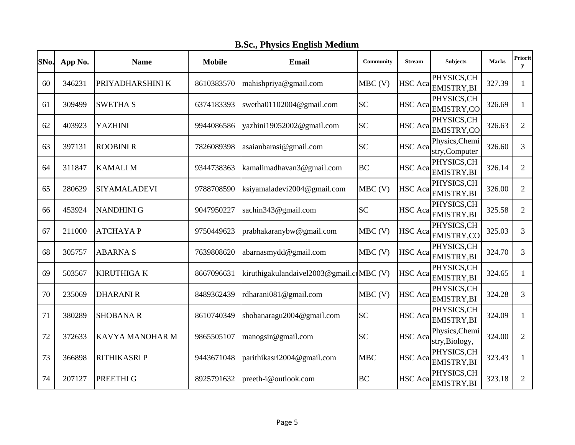|  | <b>B.Sc., Physics English Medium</b> |
|--|--------------------------------------|
|  |                                      |

| SNo. | App No. | <b>Name</b>         | <b>Mobile</b> | <b>Email</b>                             | Community  | <b>Stream</b>  | <b>Subjects</b>                  | <b>Marks</b> | <b>Priorit</b><br>y |
|------|---------|---------------------|---------------|------------------------------------------|------------|----------------|----------------------------------|--------------|---------------------|
| 60   | 346231  | PRIYADHARSHINI K    | 8610383570    | mahishpriya@gmail.com                    | $MBC$ (V)  | HSC Aca        | PHYSICS, CH<br><b>EMISTRY,BI</b> | 327.39       | 1                   |
| 61   | 309499  | <b>SWETHA S</b>     | 6374183393    | swetha01102004@gmail.com                 | <b>SC</b>  | <b>HSC</b> Aca | PHYSICS, CH<br><b>EMISTRY,CO</b> | 326.69       | 1                   |
| 62   | 403923  | <b>YAZHINI</b>      | 9944086586    | yazhini19052002@gmail.com                | <b>SC</b>  | <b>HSC</b> Aca | PHYSICS, CH<br>EMISTRY,CO        | 326.63       | $\overline{2}$      |
| 63   | 397131  | <b>ROOBINI R</b>    | 7826089398    | asaianbarasi@gmail.com                   | <b>SC</b>  | <b>HSC</b> Aca | Physics, Chemi<br>stry, Computer | 326.60       | 3                   |
| 64   | 311847  | <b>KAMALIM</b>      | 9344738363    | kamalimadhavan3@gmail.com                | <b>BC</b>  | HSC Aca        | PHYSICS,CH<br><b>EMISTRY,BI</b>  | 326.14       | $\overline{2}$      |
| 65   | 280629  | <b>SIYAMALADEVI</b> | 9788708590    | ksiyamaladevi2004@gmail.com              | $MBC$ (V)  | HSC Aca        | PHYSICS, CH<br>EMISTRY, BI       | 326.00       | $\overline{2}$      |
| 66   | 453924  | <b>NANDHINI G</b>   | 9047950227    | sachin343@gmail.com                      | <b>SC</b>  | <b>HSC</b> Aca | PHYSICS, CH<br>EMISTRY, BI       | 325.58       | $\overline{2}$      |
| 67   | 211000  | <b>ATCHAYAP</b>     | 9750449623    | prabhakaranybw@gmail.com                 | $MBC$ (V)  | <b>HSC</b> Aca | PHYSICS, CH<br>EMISTRY,CO        | 325.03       | 3                   |
| 68   | 305757  | <b>ABARNAS</b>      | 7639808620    | abarnasmydd@gmail.com                    | $MBC$ (V)  | <b>HSC</b> Aca | PHYSICS, CH<br>EMISTRY, BI       | 324.70       | 3                   |
| 69   | 503567  | <b>KIRUTHIGA K</b>  | 8667096631    | kiruthigakulandaivel2003@gmail.comBC (V) |            | <b>HSC</b> Aca | PHYSICS, CH<br>EMISTRY, BI       | 324.65       | 1                   |
| 70   | 235069  | <b>DHARANIR</b>     | 8489362439    | rdharani081@gmail.com                    | $MBC$ (V)  | HSC Aca        | PHYSICS, CH<br>EMISTRY, BI       | 324.28       | 3                   |
| 71   | 380289  | <b>SHOBANA R</b>    | 8610740349    | shobanaragu2004@gmail.com                | <b>SC</b>  | <b>HSC</b> Aca | PHYSICS, CH<br><b>EMISTRY,BI</b> | 324.09       | $\mathbf{1}$        |
| 72   | 372633  | KAVYA MANOHAR M     | 9865505107    | manogsir@gmail.com                       | <b>SC</b>  | <b>HSC</b> Aca | Physics, Chemi<br>stry, Biology, | 324.00       | $\overline{2}$      |
| 73   | 366898  | <b>RITHIKASRIP</b>  | 9443671048    | parithikasri2004@gmail.com               | <b>MBC</b> | <b>HSC</b> Aca | PHYSICS, CH<br><b>EMISTRY,BI</b> | 323.43       | $\mathbf{1}$        |
| 74   | 207127  | PREETHI G           | 8925791632    | preeth-i@outlook.com                     | <b>BC</b>  | <b>HSC</b> Aca | PHYSICS, CH<br><b>EMISTRY,BI</b> | 323.18       | $\overline{2}$      |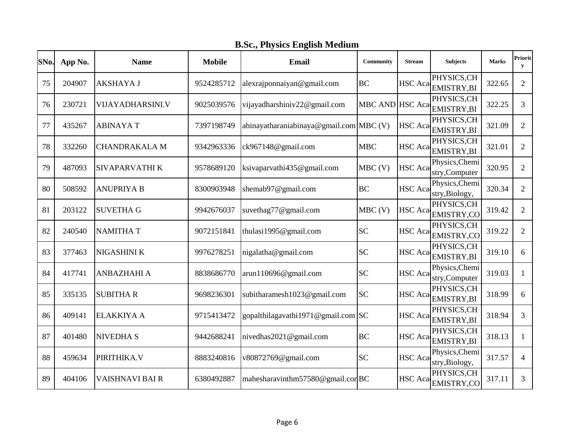**B.Sc., Physics English Medium**

| SNo. | App No. | <b>Name</b>             | <b>Mobile</b> | <b>Email</b>                            | Community       | <b>Stream</b>  | <b>Subjects</b>                  | <b>Marks</b> | Priorit<br>y   |
|------|---------|-------------------------|---------------|-----------------------------------------|-----------------|----------------|----------------------------------|--------------|----------------|
| 75   | 204907  | <b>AKSHAYA J</b>        | 9524285712    | alexrajponnaiyan@gmail.com              | <b>BC</b>       | <b>HSC</b> Aca | PHYSICS, CH<br>EMISTRY, BI       | 322.65       | $\overline{2}$ |
| 76   | 230721  | <b>VIJAYADHARSINI.V</b> | 9025039576    | vijayadharshiniv22@gmail.com            | MBC AND HSC Aca |                | PHYSICS, CH<br><b>EMISTRY,BI</b> | 322.25       | 3              |
| 77   | 435267  | <b>ABINAYAT</b>         | 7397198749    | abinayatharaniabinaya@gmail.com MBC (V) |                 | HSC Aca        | PHYSICS, CH<br>EMISTRY, BI       | 321.09       | $\overline{2}$ |
| 78   | 332260  | <b>CHANDRAKALA M</b>    | 9342963336    | ck967148@gmail.com                      | <b>MBC</b>      | HSC Aca        | PHYSICS, CH<br>EMISTRY, BI       | 321.01       | $\overline{2}$ |
| 79   | 487093  | SIVAPARVATHI K          | 9578689120    | ksivaparvathi435@gmail.com              | $MBC$ (V)       | <b>HSC</b> Aca | Physics, Chemi<br>stry, Computer | 320.95       | $\overline{2}$ |
| 80   | 508592  | <b>ANUPRIYA B</b>       | 8300903948    | shemab97@gmail.com                      | <b>BC</b>       | <b>HSC</b> Aca | Physics, Chemi<br>stry, Biology, | 320.34       | $\overline{2}$ |
| 81   | 203122  | <b>SUVETHA G</b>        | 9942676037    | suvethag77@gmail.com                    | MBC(V)          | <b>HSC</b> Aca | PHYSICS, CH<br>EMISTRY,CO        | 319.42       | $\overline{2}$ |
| 82   | 240540  | <b>NAMITHAT</b>         | 9072151841    | thulasi1995@gmail.com                   | <b>SC</b>       | HSC Aca        | PHYSICS, CH<br>EMISTRY,CO        | 319.22       | $\overline{2}$ |
| 83   | 377463  | NIGASHINI K             | 9976278251    | nigalatha@gmail.com                     | <b>SC</b>       | <b>HSC</b> Aca | PHYSICS, CH<br>EMISTRY, BI       | 319.10       | 6              |
| 84   | 417741  | <b>ANBAZHAHI A</b>      | 8838686770    | arun110696@gmail.com                    | <b>SC</b>       | <b>HSC</b> Aca | Physics, Chemi<br>stry, Computer | 319.03       | 1              |
| 85   | 335135  | <b>SUBITHAR</b>         | 9698236301    | subitharamesh1023@gmail.com             | <b>SC</b>       | <b>HSC</b> Aca | PHYSICS, CH<br><b>EMISTRY,BI</b> | 318.99       | 6              |
| 86   | 409141  | <b>ELAKKIYA A</b>       | 9715413472    | gopalthilagavathi1971@gmail.com SC      |                 | <b>HSC</b> Aca | PHYSICS, CH<br>EMISTRY, BI       | 318.94       | 3              |
| 87   | 401480  | <b>NIVEDHAS</b>         | 9442688241    | nivedhas2021@gmail.com                  | <b>BC</b>       | <b>HSC</b> Aca | PHYSICS, CH<br>EMISTRY, BI       | 318.13       | 1              |
| 88   | 459634  | PIRITHIKA.V             | 8883240816    | v80872769@gmail.com                     | <b>SC</b>       | <b>HSC</b> Aca | Physics, Chemi<br>stry, Biology, | 317.57       | 4              |
| 89   | 404106  | VAISHNAVI BAI R         | 6380492887    | mahesharavinthm57580@gmail.comBC        |                 | <b>HSC</b> Aca | PHYSICS, CH<br>EMISTRY,CO        | 317.11       | 3              |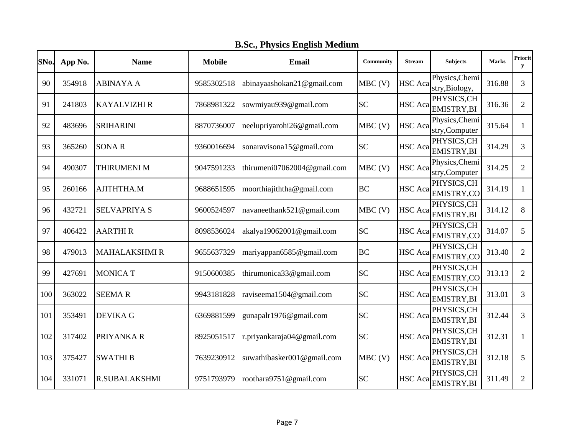**B.Sc., Physics English Medium**

| SNo. | App No. | <b>Name</b>          | <b>Mobile</b> | <b>Email</b>                | Community | <b>Stream</b>  | <b>Subjects</b>                  | <b>Marks</b> | Priorit<br>${\bf y}$ |
|------|---------|----------------------|---------------|-----------------------------|-----------|----------------|----------------------------------|--------------|----------------------|
| 90   | 354918  | <b>ABINAYA A</b>     | 9585302518    | abinayaashokan21@gmail.com  | $MBC$ (V) | <b>HSC</b> Aca | Physics, Chemi<br>stry, Biology, | 316.88       | 3                    |
| 91   | 241803  | <b>KAYALVIZHI R</b>  | 7868981322    | sowmiyau939@gmail.com       | <b>SC</b> | <b>HSC</b> Aca | PHYSICS, CH<br><b>EMISTRY,BI</b> | 316.36       | $\overline{2}$       |
| 92   | 483696  | <b>SRIHARINI</b>     | 8870736007    | neelupriyarohi26@gmail.com  | $MBC$ (V) | HSC Aca        | Physics, Chemi<br>stry,Computer  | 315.64       | $\mathbf{1}$         |
| 93   | 365260  | <b>SONAR</b>         | 9360016694    | sonaravisona15@gmail.com    | <b>SC</b> | <b>HSC</b> Aca | PHYSICS, CH<br>EMISTRY, BI       | 314.29       | 3                    |
| 94   | 490307  | <b>THIRUMENI M</b>   | 9047591233    | thirumeni07062004@gmail.com | $MBC$ (V) | <b>HSC</b> Aca | Physics, Chemi<br>stry, Computer | 314.25       | 2                    |
| 95   | 260166  | AJITHTHA.M           | 9688651595    | moorthiajiththa@gmail.com   | <b>BC</b> | <b>HSC</b> Aca | PHYSICS, CH<br>EMISTRY,CO        | 314.19       | 1                    |
| 96   | 432721  | <b>SELVAPRIYA S</b>  | 9600524597    | navaneethank521@gmail.com   | $MBC$ (V) | <b>HSC</b> Aca | PHYSICS, CH<br>EMISTRY, BI       | 314.12       | 8                    |
| 97   | 406422  | <b>AARTHIR</b>       | 8098536024    | akalya19062001@gmail.com    | <b>SC</b> | <b>HSC</b> Aca | PHYSICS, CH<br>EMISTRY,CO        | 314.07       | 5                    |
| 98   | 479013  | <b>MAHALAKSHMIR</b>  | 9655637329    | mariyappan6585@gmail.com    | <b>BC</b> | <b>HSC</b> Aca | PHYSICS, CH<br><b>EMISTRY,CO</b> | 313.40       | $\overline{2}$       |
| 99   | 427691  | <b>MONICAT</b>       | 9150600385    | thirumonica33@gmail.com     | <b>SC</b> | <b>HSC</b> Aca | PHYSICS, CH<br>EMISTRY,CO        | 313.13       | $\overline{2}$       |
| 100  | 363022  | <b>SEEMAR</b>        | 9943181828    | raviseema1504@gmail.com     | <b>SC</b> | <b>HSC</b> Aca | PHYSICS, CH<br>EMISTRY, BI       | 313.01       | 3                    |
| 101  | 353491  | <b>DEVIKA G</b>      | 6369881599    | gunapalr1976@gmail.com      | <b>SC</b> | HSC Aca        | PHYSICS, CH<br>EMISTRY, BI       | 312.44       | $\overline{3}$       |
| 102  | 317402  | PRIYANKA R           | 8925051517    | r.priyankaraja04@gmail.com  | <b>SC</b> | <b>HSC</b> Aca | PHYSICS, CH<br>EMISTRY, BI       | 312.31       | 1                    |
| 103  | 375427  | <b>SWATHIB</b>       | 7639230912    | suwathibasker001@gmail.com  | $MBC$ (V) | <b>HSC</b> Aca | PHYSICS, CH<br><b>EMISTRY,BI</b> | 312.18       | 5                    |
| 104  | 331071  | <b>R.SUBALAKSHMI</b> | 9751793979    | roothara9751@gmail.com      | <b>SC</b> | <b>HSC</b> Aca | PHYSICS, CH<br>EMISTRY, BI       | 311.49       | $\overline{2}$       |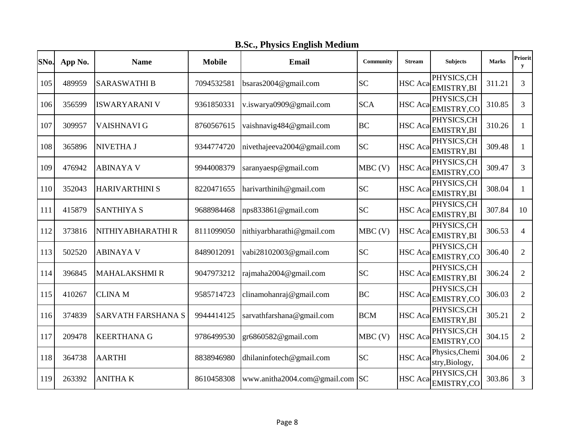|  | <b>B.Sc., Physics English Medium</b> |
|--|--------------------------------------|
|  |                                      |

| SNo. | App No. | <b>Name</b>               | <b>Mobile</b> | Email                        | Community  | <b>Stream</b>  | <b>Subjects</b>                  | <b>Marks</b> | <b>Priorit</b><br>${\bf y}$ |
|------|---------|---------------------------|---------------|------------------------------|------------|----------------|----------------------------------|--------------|-----------------------------|
| 105  | 489959  | <b>SARASWATHI B</b>       | 7094532581    | bsaras2004@gmail.com         | <b>SC</b>  | <b>HSC</b> Aca | PHYSICS, CH<br>EMISTRY, BI       | 311.21       | 3                           |
| 106  | 356599  | <b>ISWARYARANI V</b>      | 9361850331    | v.iswarya0909@gmail.com      | <b>SCA</b> | <b>HSC</b> Aca | PHYSICS, CH<br><b>EMISTRY,CO</b> | 310.85       | 3                           |
| 107  | 309957  | VAISHNAVI G               | 8760567615    | vaishnavig484@gmail.com      | <b>BC</b>  | <b>HSC</b> Aca | PHYSICS, CH<br>EMISTRY, BI       | 310.26       | 1                           |
| 108  | 365896  | <b>NIVETHA J</b>          | 9344774720    | nivethajeeva2004@gmail.com   | <b>SC</b>  | <b>HSC</b> Aca | PHYSICS, CH<br><b>EMISTRY,BI</b> | 309.48       | 1                           |
| 109  | 476942  | <b>ABINAYA V</b>          | 9944008379    | saranyaesp@gmail.com         | $MBC$ (V)  | <b>HSC</b> Aca | PHYSICS, CH<br>EMISTRY,CO        | 309.47       | 3                           |
| 110  | 352043  | <b>HARIVARTHINI S</b>     | 8220471655    | harivarthinih@gmail.com      | <b>SC</b>  | <b>HSC</b> Aca | PHYSICS, CH<br>EMISTRY, BI       | 308.04       | $\mathbf{1}$                |
| 111  | 415879  | <b>SANTHIYA S</b>         | 9688984468    | nps833861@gmail.com          | <b>SC</b>  | HSC Aca        | PHYSICS, CH<br>EMISTRY, BI       | 307.84       | 10                          |
| 112  | 373816  | NITHIYABHARATHI R         | 8111099050    | nithiyarbharathi@gmail.com   | $MBC$ (V)  | <b>HSC</b> Aca | PHYSICS, CH<br>EMISTRY, BI       | 306.53       | $\overline{4}$              |
| 113  | 502520  | <b>ABINAYA V</b>          | 8489012091    | vabi28102003@gmail.com       | <b>SC</b>  | HSC Aca        | PHYSICS, CH<br>EMISTRY,CO        | 306.40       | $\overline{2}$              |
| 114  | 396845  | <b>MAHALAKSHMIR</b>       | 9047973212    | rajmaha2004@gmail.com        | <b>SC</b>  | HSC Aca        | PHYSICS, CH<br>EMISTRY, BI       | 306.24       | $\overline{2}$              |
| 115  | 410267  | <b>CLINA M</b>            | 9585714723    | clinamohanraj@gmail.com      | <b>BC</b>  | <b>HSC</b> Aca | PHYSICS, CH<br><b>EMISTRY,CO</b> | 306.03       | $\overline{2}$              |
| 116  | 374839  | <b>SARVATH FARSHANA S</b> | 9944414125    | sarvathfarshana@gmail.com    | <b>BCM</b> | <b>HSC</b> Aca | PHYSICS, CH<br>EMISTRY, BI       | 305.21       | $\overline{2}$              |
| 117  | 209478  | <b>KEERTHANA G</b>        | 9786499530    | gr6860582@gmail.com          | $MBC$ (V)  | <b>HSC</b> Aca | PHYSICS, CH<br>EMISTRY,CO        | 304.15       | $\overline{2}$              |
| 118  | 364738  | <b>AARTHI</b>             | 8838946980    | dhilaninfotech@gmail.com     | <b>SC</b>  | <b>HSC</b> Aca | Physics, Chemi<br>stry, Biology, | 304.06       | $\overline{2}$              |
| 119  | 263392  | <b>ANITHAK</b>            | 8610458308    | www.anitha2004.com@gmail.com | <b>SC</b>  | <b>HSC</b> Aca | PHYSICS, CH<br><b>EMISTRY,CO</b> | 303.86       | 3                           |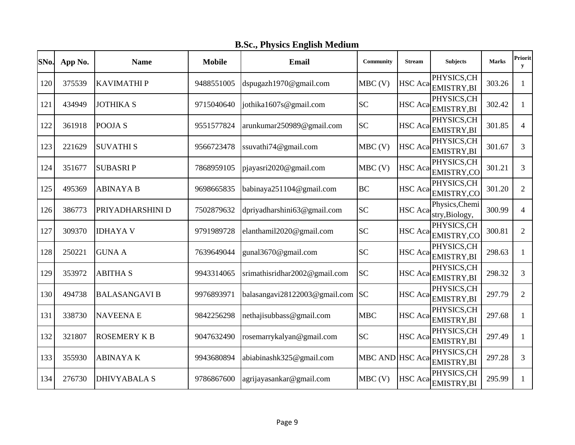|  | <b>B.Sc., Physics English Medium</b> |
|--|--------------------------------------|
|  |                                      |

| SNo. | App No. | <b>Name</b>          | <b>Mobile</b> | Email                         | Community      | <b>Stream</b>  | <b>Subjects</b>                  | <b>Marks</b> | Priorit<br>y   |
|------|---------|----------------------|---------------|-------------------------------|----------------|----------------|----------------------------------|--------------|----------------|
| 120  | 375539  | <b>KAVIMATHIP</b>    | 9488551005    | dspugazh1970@gmail.com        | $MBC$ (V)      | <b>HSC</b> Aca | PHYSICS, CH<br><b>EMISTRY,BI</b> | 303.26       | $\mathbf{1}$   |
| 121  | 434949  | <b>JOTHIKA S</b>     | 9715040640    | jothika1607s@gmail.com        | <b>SC</b>      | <b>HSC</b> Aca | PHYSICS, CH<br><b>EMISTRY,BI</b> | 302.42       | $\mathbf{1}$   |
| 122  | 361918  | POOJA <sub>S</sub>   | 9551577824    | arunkumar250989@gmail.com     | <b>SC</b>      | <b>HSC</b> Aca | PHYSICS, CH<br><b>EMISTRY,BI</b> | 301.85       | $\overline{4}$ |
| 123  | 221629  | <b>SUVATHIS</b>      | 9566723478    | ssuvathi74@gmail.com          | $MBC$ (V)      | HSC Aca        | PHYSICS, CH<br>EMISTRY, BI       | 301.67       | 3              |
| 124  | 351677  | <b>SUBASRIP</b>      | 7868959105    | pjayasri2020@gmail.com        | $MBC$ (V)      | <b>HSC</b> Aca | PHYSICS, CH<br>EMISTRY,CO        | 301.21       | 3              |
| 125  | 495369  | <b>ABINAYA B</b>     | 9698665835    | babinaya251104@gmail.com      | <b>BC</b>      | <b>HSC</b> Aca | PHYSICS, CH<br>EMISTRY,CO        | 301.20       | $\overline{2}$ |
| 126  | 386773  | PRIYADHARSHINI D     | 7502879632    | dpriyadharshini63@gmail.com   | <b>SC</b>      | <b>HSC</b> Aca | Physics, Chemi<br>stry, Biology, | 300.99       | 4              |
| 127  | 309370  | <b>IDHAYA V</b>      | 9791989728    | elanthamil2020@gmail.com      | <b>SC</b>      | <b>HSC</b> Aca | PHYSICS, CH<br><b>EMISTRY,CO</b> | 300.81       | $\overline{2}$ |
| 128  | 250221  | <b>GUNA A</b>        | 7639649044    | gunal3670@gmail.com           | <b>SC</b>      | <b>HSC</b> Aca | PHYSICS, CH<br>EMISTRY, BI       | 298.63       | $\mathbf{1}$   |
| 129  | 353972  | <b>ABITHA S</b>      | 9943314065    | srimathisridhar2002@gmail.com | <b>SC</b>      | <b>HSC</b> Aca | PHYSICS, CH<br>EMISTRY, BI       | 298.32       | 3              |
| 130  | 494738  | <b>BALASANGAVI B</b> | 9976893971    | balasangavi28122003@gmail.com | <b>SC</b>      | <b>HSC</b> Aca | PHYSICS, CH<br><b>EMISTRY,BI</b> | 297.79       | $\overline{2}$ |
| 131  | 338730  | <b>NAVEENAE</b>      | 9842256298    | nethajisubbass@gmail.com      | <b>MBC</b>     | <b>HSC</b> Aca | PHYSICS, CH<br><b>EMISTRY,BI</b> | 297.68       | 1              |
| 132  | 321807  | <b>ROSEMERY K B</b>  | 9047632490    | rosemarrykalyan@gmail.com     | <b>SC</b>      | <b>HSC</b> Aca | PHYSICS, CH<br>EMISTRY, BI       | 297.49       | 1              |
| 133  | 355930  | <b>ABINAYAK</b>      | 9943680894    | abiabinashk325@gmail.com      | <b>MBC AND</b> | <b>HSC</b> Aca | PHYSICS, CH<br>EMISTRY, BI       | 297.28       | 3              |
| 134  | 276730  | <b>DHIVYABALA S</b>  | 9786867600    | agrijayasankar@gmail.com      | $MBC$ (V)      | <b>HSC</b> Aca | PHYSICS,CH<br><b>EMISTRY, BI</b> | 295.99       | 1              |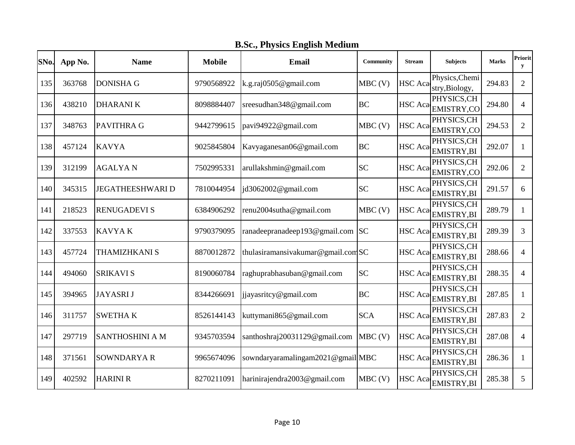|  | <b>B.Sc., Physics English Medium</b> |
|--|--------------------------------------|
|  |                                      |

| SNo. | App No. | <b>Name</b>             | <b>Mobile</b> | Email                             | <b>Community</b> | <b>Stream</b>  | <b>Subjects</b>                  | <b>Marks</b> | Priorit<br>y   |
|------|---------|-------------------------|---------------|-----------------------------------|------------------|----------------|----------------------------------|--------------|----------------|
| 135  | 363768  | <b>DONISHA G</b>        | 9790568922    | k.g.raj0505@gmail.com             | $MBC$ (V)        | <b>HSC</b> Aca | Physics, Chemi<br>stry, Biology, | 294.83       | $\overline{2}$ |
| 136  | 438210  | <b>DHARANIK</b>         | 8098884407    | sreesudhan348@gmail.com           | <b>BC</b>        | <b>HSC</b> Aca | PHYSICS, CH<br>EMISTRY,CO        | 294.80       | $\overline{4}$ |
| 137  | 348763  | <b>PAVITHRA G</b>       | 9442799615    | pavi94922@gmail.com               | MBC(V)           | <b>HSC</b> Aca | PHYSICS, CH<br>EMISTRY,CO        | 294.53       | $\overline{2}$ |
| 138  | 457124  | <b>KAVYA</b>            | 9025845804    | Kavyaganesan06@gmail.com          | <b>BC</b>        | <b>HSC</b> Aca | PHYSICS, CH<br>EMISTRY, BI       | 292.07       | 1              |
| 139  | 312199  | <b>AGALYAN</b>          | 7502995331    | arullakshmin@gmail.com            | <b>SC</b>        | <b>HSC</b> Aca | PHYSICS, CH<br><b>EMISTRY,CO</b> | 292.06       | $\overline{2}$ |
| 140  | 345315  | <b>JEGATHEESHWARI D</b> | 7810044954    | jd3062002@gmail.com               | <b>SC</b>        | <b>HSC</b> Aca | PHYSICS, CH<br>EMISTRY, BI       | 291.57       | 6              |
| 141  | 218523  | <b>RENUGADEVI S</b>     | 6384906292    | renu2004sutha@gmail.com           | $MBC$ (V)        | <b>HSC</b> Aca | PHYSICS, CH<br>EMISTRY, BI       | 289.79       | 1              |
| 142  | 337553  | <b>KAVYAK</b>           | 9790379095    | ranadeepranadeep193@gmail.com     | SC               | <b>HSC</b> Aca | PHYSICS, CH<br>EMISTRY, BI       | 289.39       | 3              |
| 143  | 457724  | <b>THAMIZHKANI S</b>    | 8870012872    | thulasiramansivakumar@gmail.comSC |                  | <b>HSC</b> Aca | PHYSICS, CH<br><b>EMISTRY,BI</b> | 288.66       | $\overline{4}$ |
| 144  | 494060  | <b>SRIKAVI S</b>        | 8190060784    | raghuprabhasuban@gmail.com        | <b>SC</b>        | <b>HSC</b> Aca | PHYSICS, CH<br>EMISTRY, BI       | 288.35       | $\overline{4}$ |
| 145  | 394965  | <b>JAYASRIJ</b>         | 8344266691    | jjayasritcy@gmail.com             | <b>BC</b>        | <b>HSC</b> Aca | PHYSICS, CH<br><b>EMISTRY,BI</b> | 287.85       | 1              |
| 146  | 311757  | <b>SWETHAK</b>          | 8526144143    | kuttymani865@gmail.com            | <b>SCA</b>       | <b>HSC</b> Aca | PHYSICS,CH<br><b>EMISTRY,BI</b>  | 287.83       | $\overline{2}$ |
| 147  | 297719  | <b>SANTHOSHINI A M</b>  | 9345703594    | santhoshraj20031129@gmail.com     | $MBC$ (V)        | <b>HSC</b> Aca | PHYSICS, CH<br>EMISTRY, BI       | 287.08       | $\overline{4}$ |
| 148  | 371561  | <b>SOWNDARYAR</b>       | 9965674096    | sowndaryaramalingam2021@gmailMBC  |                  | <b>HSC</b> Aca | PHYSICS, CH<br><b>EMISTRY,BI</b> | 286.36       | $\mathbf{1}$   |
| 149  | 402592  | <b>HARINI R</b>         | 8270211091    | harinirajendra2003@gmail.com      | $MBC$ (V)        | HSC Aca        | PHYSICS,CH<br>EMISTRY, BI        | 285.38       | 5              |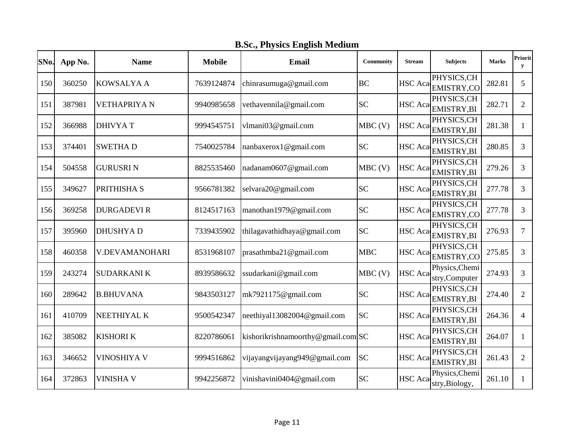| SNo. | App No. | <b>Name</b>        | <b>Mobile</b> | <b>Email</b>                      | Community  | <b>Stream</b>  | <b>Subjects</b>                  | <b>Marks</b> | Priorit<br>y   |
|------|---------|--------------------|---------------|-----------------------------------|------------|----------------|----------------------------------|--------------|----------------|
| 150  | 360250  | <b>KOWSALYA A</b>  | 7639124874    | chinrasumuga@gmail.com            | <b>BC</b>  | <b>HSC</b> Aca | PHYSICS, CH<br><b>EMISTRY,CO</b> | 282.81       | 5              |
| 151  | 387981  | <b>VETHAPRIYAN</b> | 9940985658    | vethavennila@gmail.com            | <b>SC</b>  | HSC Aca        | PHYSICS, CH<br>EMISTRY, BI       | 282.71       | $\overline{2}$ |
| 152  | 366988  | <b>DHIVYAT</b>     | 9994545751    | vlmani03@gmail.com                | MBC(V)     | <b>HSC</b> Aca | PHYSICS, CH<br><b>EMISTRY,BI</b> | 281.38       | 1              |
| 153  | 374401  | <b>SWETHAD</b>     | 7540025784    | nanbaxerox1@gmail.com             | <b>SC</b>  | HSC Aca        | PHYSICS, CH<br>EMISTRY, BI       | 280.85       | 3              |
| 154  | 504558  | <b>GURUSRIN</b>    | 8825535460    | nadanam0607@gmail.com             | $MBC$ (V)  | HSC Aca        | PHYSICS, CH<br>EMISTRY, BI       | 279.26       | 3              |
| 155  | 349627  | PRITHISHA S        | 9566781382    | selvara20@gmail.com               | <b>SC</b>  | <b>HSC</b> Aca | PHYSICS, CH<br>EMISTRY, BI       | 277.78       | 3              |
| 156  | 369258  | <b>DURGADEVIR</b>  | 8124517163    | manothan1979@gmail.com            | <b>SC</b>  | HSC Aca        | PHYSICS, CH<br>EMISTRY,CO        | 277.78       | 3              |
| 157  | 395960  | <b>DHUSHYA D</b>   | 7339435902    | thilagavathidhaya@gmail.com       | <b>SC</b>  | <b>HSC</b> Aca | PHYSICS, CH<br>EMISTRY, BI       | 276.93       | $\tau$         |
| 158  | 460358  | V.DEVAMANOHARI     | 8531968107    | prasathmba21@gmail.com            | <b>MBC</b> | <b>HSC</b> Aca | PHYSICS, CH<br>EMISTRY,CO        | 275.85       | 3              |
| 159  | 243274  | <b>SUDARKANIK</b>  | 8939586632    | ssudarkani@gmail.com              | $MBC$ (V)  | <b>HSC</b> Aca | Physics, Chemi<br>stry, Computer | 274.93       | 3              |
| 160  | 289642  | <b>B.BHUVANA</b>   | 9843503127    | mk7921175@gmail.com               | <b>SC</b>  | <b>HSC</b> Aca | PHYSICS, CH<br><b>EMISTRY,BI</b> | 274.40       | $\overline{2}$ |
| 161  | 410709  | NEETHIYAL K        | 9500542347    | neethiyal13082004@gmail.com       | <b>SC</b>  | <b>HSC</b> Aca | PHYSICS, CH<br>EMISTRY, BI       | 264.36       | 4              |
| 162  | 385082  | <b>KISHORI K</b>   | 8220786061    | kishorikrishnamoorthy@gmail.comSC |            | <b>HSC</b> Aca | PHYSICS, CH<br>EMISTRY, BI       | 264.07       | 1              |
| 163  | 346652  | <b>VINOSHIYA V</b> | 9994516862    | vijayangvijayang949@gmail.com     | <b>SC</b>  | <b>HSC</b> Aca | PHYSICS, CH<br>EMISTRY, BI       | 261.43       | $\overline{2}$ |
| 164  | 372863  | <b>VINISHA V</b>   | 9942256872    | vinishavini0404@gmail.com         | <b>SC</b>  | <b>HSC</b> Aca | Physics, Chemi<br>stry, Biology, | 261.10       | 1              |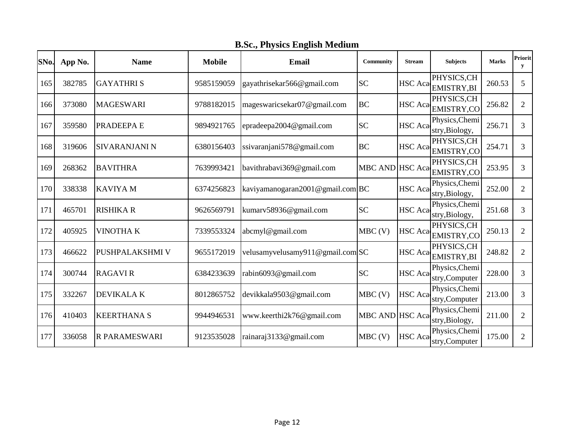**B.Sc., Physics English Medium**

| SNo. | App No. | <b>Name</b>          | <b>Mobile</b> | <b>Email</b>                     | Community       | <b>Stream</b>  | <b>Subjects</b>                  | <b>Marks</b> | Priorit<br>y   |
|------|---------|----------------------|---------------|----------------------------------|-----------------|----------------|----------------------------------|--------------|----------------|
| 165  | 382785  | <b>GAYATHRIS</b>     | 9585159059    | gayathrisekar566@gmail.com       | <b>SC</b>       | <b>HSC</b> Aca | PHYSICS,CH<br><b>EMISTRY,BI</b>  | 260.53       | 5              |
| 166  | 373080  | <b>MAGESWARI</b>     | 9788182015    | mageswaricsekar07@gmail.com      | <b>BC</b>       | <b>HSC</b> Aca | PHYSICS, CH<br><b>EMISTRY,CO</b> | 256.82       | $\overline{2}$ |
| 167  | 359580  | PRADEEPA E           | 9894921765    | epradeepa2004@gmail.com          | <b>SC</b>       | HSC Aca        | Physics, Chemi<br>stry, Biology, | 256.71       | 3              |
| 168  | 319606  | <b>SIVARANJANI N</b> | 6380156403    | ssivaranjani578@gmail.com        | <b>BC</b>       | <b>HSC</b> Aca | PHYSICS, CH<br><b>EMISTRY,CO</b> | 254.71       | 3              |
| 169  | 268362  | <b>BAVITHRA</b>      | 7639993421    | bavithrabavi369@gmail.com        | MBC AND HSC Aca |                | PHYSICS, CH<br>EMISTRY,CO        | 253.95       | 3              |
| 170  | 338338  | <b>KAVIYAM</b>       | 6374256823    | kaviyamanogaran2001@gmail.com BC |                 | HSC Aca        | Physics, Chemi<br>stry, Biology, | 252.00       | 2              |
| 171  | 465701  | <b>RISHIKA R</b>     | 9626569791    | kumarv58936@gmail.com            | <b>SC</b>       | <b>HSC</b> Aca | Physics, Chemi<br>stry, Biology, | 251.68       | 3              |
| 172  | 405925  | <b>VINOTHAK</b>      | 7339553324    | abcmyl@gmail.com                 | $MBC$ (V)       | <b>HSC</b> Aca | PHYSICS, CH<br>EMISTRY,CO        | 250.13       | $\overline{2}$ |
| 173  | 466622  | PUSHPALAKSHMI V      | 9655172019    | velusamyvelusamy911@gmail.com    |                 | <b>HSC</b> Aca | PHYSICS, CH<br>EMISTRY, BI       | 248.82       | $\overline{2}$ |
| 174  | 300744  | <b>RAGAVIR</b>       | 6384233639    | rabin6093@gmail.com              | <b>SC</b>       | <b>HSC</b> Aca | Physics, Chemi<br>stry, Computer | 228.00       | 3              |
| 175  | 332267  | DEVIKALA K           | 8012865752    | devikkala9503@gmail.com          | $MBC$ (V)       | <b>HSC</b> Aca | Physics, Chemi<br>stry,Computer  | 213.00       | 3              |
| 176  | 410403  | <b>KEERTHANA S</b>   | 9944946531    | www.keerthi2k76@gmail.com        | MBC AND HSC Aca |                | Physics, Chemi<br>stry, Biology, | 211.00       | $\overline{2}$ |
| 177  | 336058  | <b>R PARAMESWARI</b> | 9123535028    | rainaraj3133@gmail.com           | $MBC$ (V)       | <b>HSC</b> Aca | Physics, Chemi<br>stry,Computer  | 175.00       | $\overline{2}$ |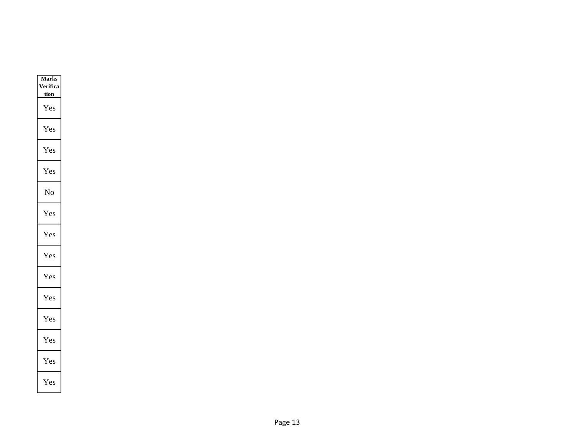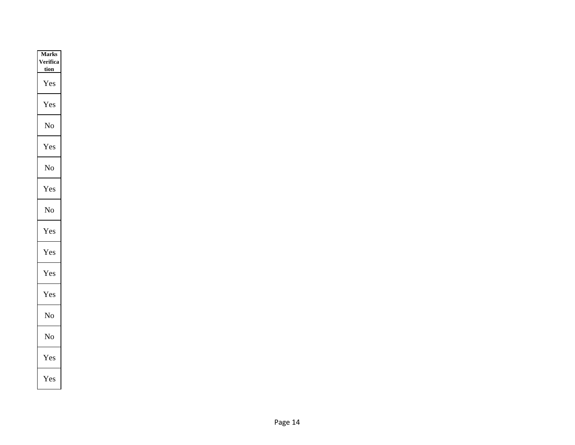| <b>Marks</b> |
|--------------|
| erifica      |
| <u>tion</u>  |
| Yes          |
| Yes          |
| No           |
| Y es         |
| No           |
| Yes          |
| No           |
| r es         |
| Yes          |
| í es         |
| Yes          |
| No           |
| No           |
| Yes          |
| Yes          |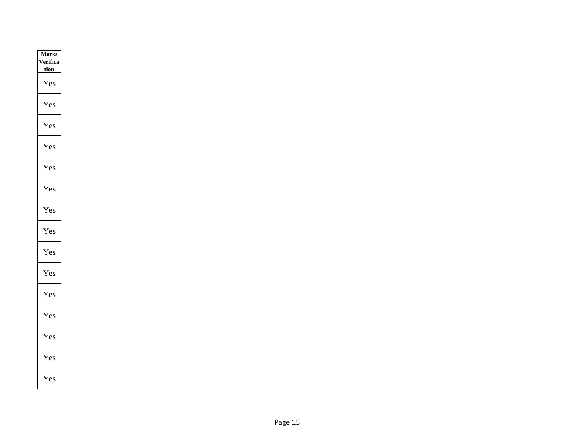| <b>Marks</b> |
|--------------|
| erifica      |
| <u>tion</u>  |
| Y es         |
| Yes          |
| Yes          |
| Yes          |
| Yes          |
| Yes          |
| Yes          |
| r es         |
| Yes          |
| Yes          |
| Yes          |
| Yes          |
| es ⁄         |
| Yes          |
| Yes          |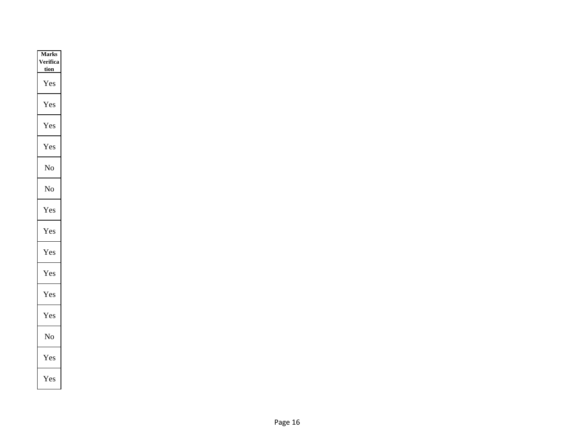| <b>Marks</b> |
|--------------|
| erifica      |
| <u>tion</u>  |
| Y es         |
| Yes          |
| Yes          |
| Yes          |
| No           |
| No           |
| r es         |
| í es         |
| Yes          |
| es           |
| r es         |
| Yes          |
| No           |
| Yes          |
| Yes          |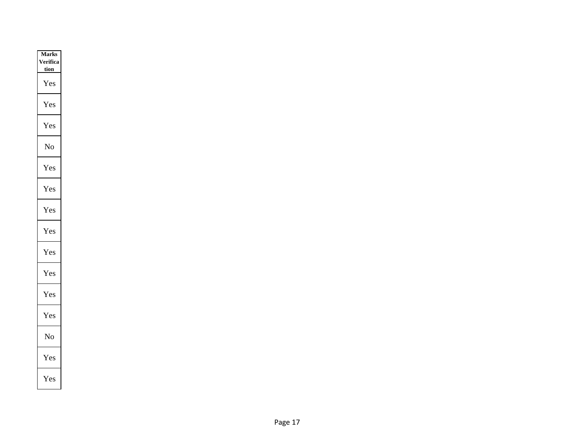| <b>Marks</b> |
|--------------|
| erifica      |
| <u>tion</u>  |
| Y es         |
| Yes          |
| Yes          |
| No           |
| r es         |
| Yes          |
| Yes          |
| r es         |
| Yes          |
| es?          |
| Yes          |
| Yes          |
| No           |
| Yes          |
| Yes          |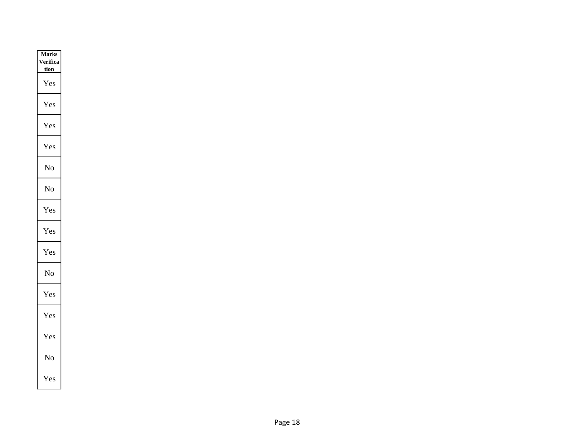| <b>Marks</b> |
|--------------|
| erifica      |
| <u>tion</u>  |
| Yes          |
| Yes          |
| Yes          |
| Yes          |
| No           |
| No           |
| r es         |
| í es         |
| Yes          |
| No           |
| Yes          |
| Yes          |
| (es          |
| No           |
| Yes          |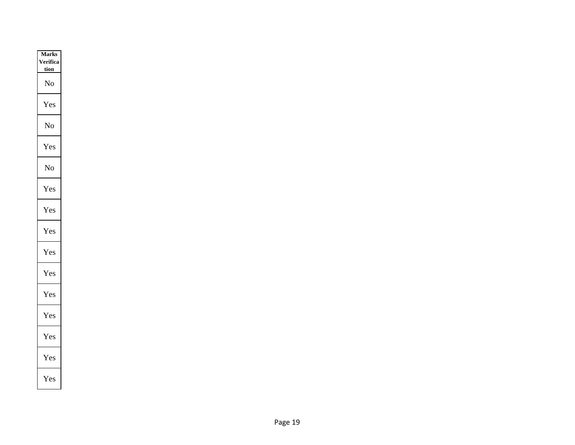| <b>Marks</b> |
|--------------|
| erifica      |
| <u>tion</u>  |
| No           |
| Yes          |
| No           |
| r es         |
| No           |
| Yes          |
| Yes          |
| í es         |
| Yes          |
| es           |
| 'es<br>Y     |
| Yes          |
| (es          |
| Yes          |
| Yes          |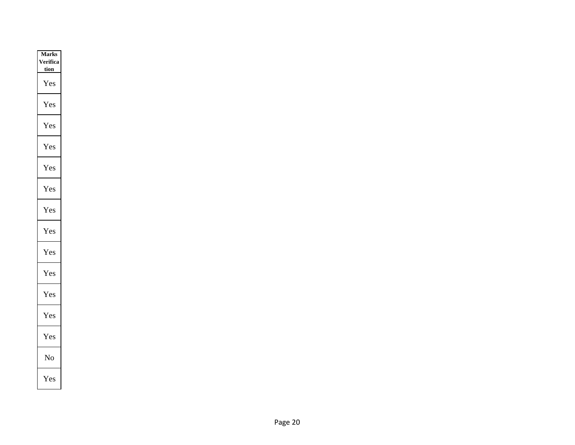| <b>Marks</b> |
|--------------|
| erifica      |
| <u>tion</u>  |
| Yes          |
| 7es          |
| Yes          |
| Yes          |
| res          |
| Yes          |
| Yes          |
| í es         |
| Yes          |
| es?          |
| Y es         |
| res          |
| es?          |
| No           |
| Yes          |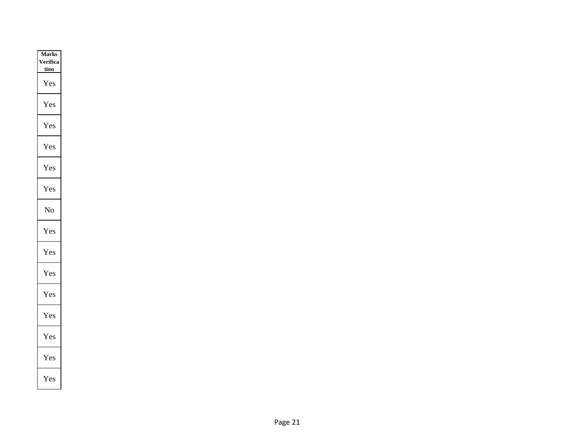| <b>Marks</b> |
|--------------|
| /erifica     |
| <u>tion</u>  |
| Yes          |
| 7es          |
| Yes          |
| Yes          |
| res          |
| Yes          |
| No           |
| r es         |
| Yes          |
| Yes          |
| Yes          |
| res          |
| es ⁄         |
| Yes          |
| Yes          |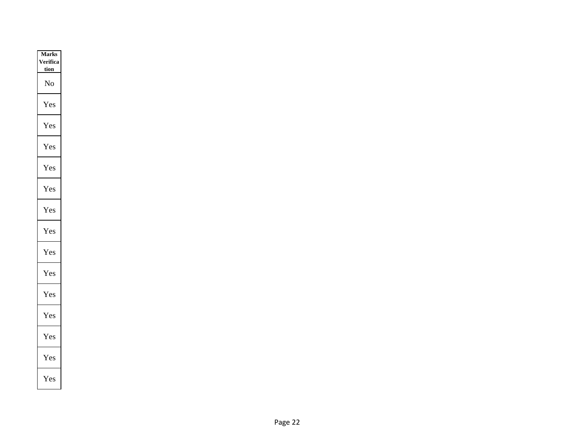| <b>Marks</b> |
|--------------|
| erifica      |
| <u>tion</u>  |
| No           |
| Yes          |
| Yes          |
| Yes          |
| r es         |
| Yes          |
| r es         |
| r es         |
| Yes          |
| es?          |
| r es         |
| Yes          |
| (es          |
| Yes          |
| Yes          |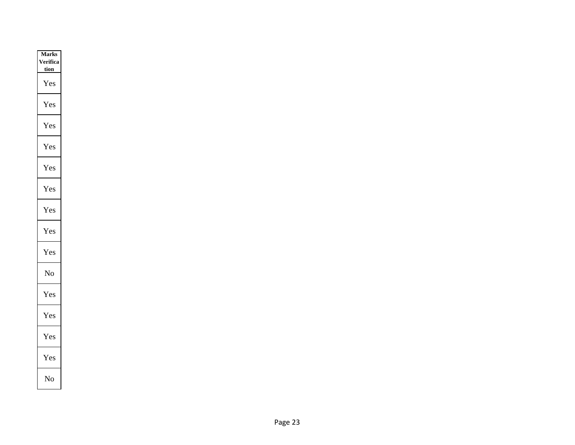| <b>Marks</b> |
|--------------|
| erifica      |
| <u>tion</u>  |
| Yes          |
| í es         |
| Yes          |
| í es         |
| r es         |
| Yes          |
| Yes          |
| Y es         |
| Yes          |
| No           |
| í es         |
| Yes          |
| es}          |
| Yes          |
| No           |